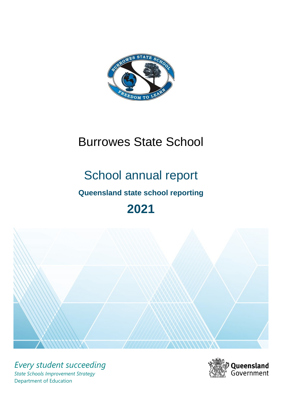

# Burrowes State School

# School annual report

# **Queensland state school reporting**

# **2021**



*Every student succeeding State Schools Improvement Strategy* Department of Education

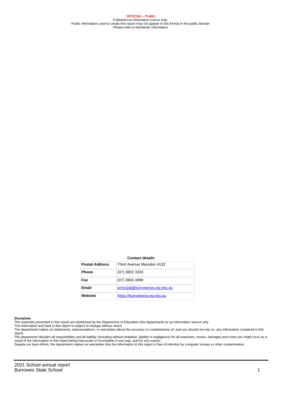**OFFICIAL – Public** Published as information source only. Public information used to create this report may not appear in this format in the public domain Please refer to disclaimer information.

#### **Contact details**

| <b>Postal Address</b> | Third Avenue Marsden 4132      |
|-----------------------|--------------------------------|
| <b>Phone</b>          | (07) 3802 3333                 |
| Fax                   | (07) 3803 4898                 |
| <b>Email</b>          | principal@burrowesss.eq.edu.au |
| Website               | https://burrowesss.eq.edu.au   |

#### **Disclaimer**

The materials presented in this report are distributed by the Department of Education (the department) as an information source only.

The information and data in this report is subject to change without notice.<br>The department makes no statements, representations, or warranties about the accuracy or completeness of, and you should not rely on, any informa report. The department disclaim all responsibility and all liability (including without limitation, liability in negligence) for all expenses, losses, damages and costs you might incur as a

result of the information in this report being inaccurate or incomplete in any way, and for any reason. Despite our best efforts, the department makes no warranties that the information in this report is free of infection by computer viruses or other contamination.

2021 School annual report Burrowes State School 1 and 1 and 1 and 1 and 1 and 1 and 1 and 1 and 1 and 1 and 1 and 1 and 1 and 1 and 1 and 1 and 1 and 1 and 1 and 1 and 1 and 1 and 1 and 1 and 1 and 1 and 1 and 1 and 1 and 1 and 1 and 1 and 1 and 1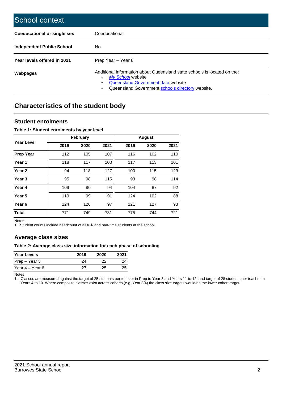| School context                   |                                                                                                                                                                                              |
|----------------------------------|----------------------------------------------------------------------------------------------------------------------------------------------------------------------------------------------|
| Coeducational or single sex      | Coeducational                                                                                                                                                                                |
| <b>Independent Public School</b> | No.                                                                                                                                                                                          |
| Year levels offered in 2021      | Prep Year - Year 6                                                                                                                                                                           |
| Webpages                         | Additional information about Queensland state schools is located on the:<br>My School website<br>Queensland Government data website<br>Queensland Government schools directory website.<br>٠ |

# **Characteristics of the student body**

### **Student enrolments**

#### **Table 1: Student enrolments by year level**

|                   |      | <b>February</b> |      |      | <b>August</b> |      |
|-------------------|------|-----------------|------|------|---------------|------|
| <b>Year Level</b> | 2019 | 2020            | 2021 | 2019 | 2020          | 2021 |
| <b>Prep Year</b>  | 112  | 105             | 107  | 116  | 102           | 110  |
| Year 1            | 118  | 117             | 100  | 117  | 113           | 101  |
| Year 2            | 94   | 118             | 127  | 100  | 115           | 123  |
| Year <sub>3</sub> | 95   | 98              | 115  | 93   | 98            | 114  |
| Year 4            | 109  | 86              | 94   | 104  | 87            | 92   |
| Year 5            | 119  | 99              | 91   | 124  | 102           | 88   |
| Year <sub>6</sub> | 124  | 126             | 97   | 121  | 127           | 93   |
| <b>Total</b>      | 771  | 749             | 731  | 775  | 744           | 721  |

Notes

1. Student counts include headcount of all full- and part-time students at the school.

### **Average class sizes**

#### **Table 2: Average class size information for each phase of schooling**

| <b>Year Levels</b> | 2019 | 2020 | 2021 |
|--------------------|------|------|------|
| Prep – Year 3      | 24   | つつ   | 24   |
| Year 4 – Year 6    | 27   | 25.  | 25   |

Notes

1. Classes are measured against the target of 25 students per teacher in Prep to Year 3 and Years 11 to 12, and target of 28 students per teacher in Years 4 to 10. Where composite classes exist across cohorts (e.g. Year 3/4) the class size targets would be the lower cohort target.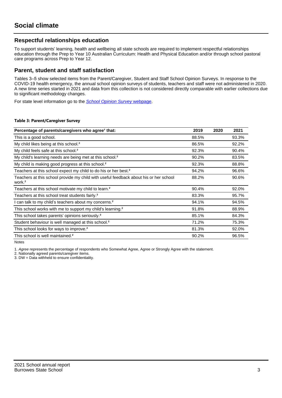## **Respectful relationships education**

To support students' learning, health and wellbeing all state schools are required to implement respectful relationships education through the Prep to Year 10 Australian Curriculum: Health and Physical Education and/or through school pastoral care programs across Prep to Year 12.

### **Parent, student and staff satisfaction**

Tables 3–5 show selected items from the Parent/Caregiver, Student and Staff School Opinion Surveys. In response to the COVID-19 health emergency, the annual school opinion surveys of students, teachers and staff were not administered in 2020. A new time series started in 2021 and data from this collection is not considered directly comparable with earlier collections due to significant methodology changes.

For state level information go to the **[School Opinion Survey](https://qed.qld.gov.au/publications/reports/statistics/schooling/schools/schoolopinionsurvey) webpage**.

#### **Table 3: Parent/Caregiver Survey**

| Percentage of parents/caregivers who agree <sup>1</sup> that:                                               | 2019  | 2020 | 2021  |
|-------------------------------------------------------------------------------------------------------------|-------|------|-------|
| This is a good school.                                                                                      | 88.5% |      | 93.3% |
| My child likes being at this school. <sup>2</sup>                                                           | 86.5% |      | 92.2% |
| My child feels safe at this school. <sup>2</sup>                                                            | 92.3% |      | 90.4% |
| My child's learning needs are being met at this school. <sup>2</sup>                                        | 90.2% |      | 83.5% |
| My child is making good progress at this school. <sup>2</sup>                                               | 92.3% |      | 88.8% |
| Teachers at this school expect my child to do his or her best. <sup>2</sup>                                 | 94.2% |      | 96.6% |
| Teachers at this school provide my child with useful feedback about his or her school<br>work. <sup>2</sup> | 88.2% |      | 90.6% |
| Teachers at this school motivate my child to learn. <sup>2</sup>                                            | 90.4% |      | 92.0% |
| Teachers at this school treat students fairly. <sup>2</sup>                                                 | 83.3% |      | 95.7% |
| I can talk to my child's teachers about my concerns. <sup>2</sup>                                           | 94.1% |      | 94.5% |
| This school works with me to support my child's learning. <sup>2</sup>                                      | 91.8% |      | 88.9% |
| This school takes parents' opinions seriously. <sup>2</sup>                                                 | 85.1% |      | 84.3% |
| Student behaviour is well managed at this school. <sup>2</sup>                                              | 71.2% |      | 75.3% |
| This school looks for ways to improve. <sup>2</sup>                                                         | 81.3% |      | 92.0% |
| This school is well maintained. <sup>2</sup>                                                                | 90.2% |      | 96.5% |

Notes

1. Agree represents the percentage of respondents who Somewhat Agree, Agree or Strongly Agree with the statement.

2. Nationally agreed parents/caregiver items.

3. DW = Data withheld to ensure confidentiality.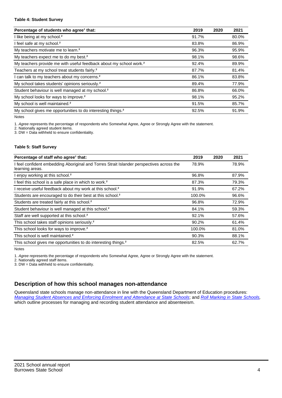#### **Table 4: Student Survey**

| Percentage of students who agree <sup>1</sup> that:                            | 2019  | 2020 | 2021  |
|--------------------------------------------------------------------------------|-------|------|-------|
| I like being at my school. <sup>2</sup>                                        | 91.7% |      | 80.0% |
| I feel safe at my school. <sup>2</sup>                                         | 83.8% |      | 86.9% |
| My teachers motivate me to learn. <sup>2</sup>                                 | 96.3% |      | 95.9% |
| My teachers expect me to do my best. <sup>2</sup>                              | 98.1% |      | 98.6% |
| My teachers provide me with useful feedback about my school work. <sup>2</sup> | 92.4% |      | 89.9% |
| Teachers at my school treat students fairly. <sup>2</sup>                      | 87.7% |      | 81.4% |
| I can talk to my teachers about my concerns. <sup>2</sup>                      | 86.1% |      | 83.8% |
| My school takes students' opinions seriously. <sup>2</sup>                     | 89.4% |      | 77.9% |
| Student behaviour is well managed at my school. <sup>2</sup>                   | 86.8% |      | 66.0% |
| My school looks for ways to improve. <sup>2</sup>                              | 98.1% |      | 95.2% |
| My school is well maintained. <sup>2</sup>                                     | 91.5% |      | 85.7% |
| My school gives me opportunities to do interesting things. <sup>2</sup>        | 92.5% |      | 91.9% |

Notes

1. Agree represents the percentage of respondents who Somewhat Agree, Agree or Strongly Agree with the statement.

2. Nationally agreed student items.

3. DW = Data withheld to ensure confidentiality.

#### **Table 5: Staff Survey**

| Percentage of staff who agree <sup>1</sup> that:                                                            | 2019   | 2020 | 2021  |
|-------------------------------------------------------------------------------------------------------------|--------|------|-------|
| I feel confident embedding Aboriginal and Torres Strait Islander perspectives across the<br>learning areas. | 78.9%  |      | 78.9% |
| I enjoy working at this school. <sup>2</sup>                                                                | 96.8%  |      | 87.9% |
| I feel this school is a safe place in which to work. <sup>2</sup>                                           | 87.3%  |      | 79.3% |
| I receive useful feedback about my work at this school. <sup>2</sup>                                        | 91.9%  |      | 67.2% |
| Students are encouraged to do their best at this school. <sup>2</sup>                                       | 100.0% |      | 96.6% |
| Students are treated fairly at this school. <sup>2</sup>                                                    | 96.8%  |      | 72.9% |
| Student behaviour is well managed at this school. <sup>2</sup>                                              | 84.1%  |      | 59.3% |
| Staff are well supported at this school. <sup>2</sup>                                                       | 92.1%  |      | 57.6% |
| This school takes staff opinions seriously. <sup>2</sup>                                                    | 90.2%  |      | 61.4% |
| This school looks for ways to improve. <sup>2</sup>                                                         | 100.0% |      | 81.0% |
| This school is well maintained. <sup>2</sup>                                                                | 90.3%  |      | 88.1% |
| This school gives me opportunities to do interesting things. <sup>2</sup>                                   | 82.5%  |      | 62.7% |

Notes

1. Agree represents the percentage of respondents who Somewhat Agree, Agree or Strongly Agree with the statement.

2. Nationally agreed staff items.

3. DW = Data withheld to ensure confidentiality.

## **Description of how this school manages non-attendance**

Queensland state schools manage non-attendance in line with the Queensland Department of Education procedures: [Managing Student Absences and Enforcing Enrolment and Attendance at State Schools](https://ppr.qed.qld.gov.au/pp/managing-student-absences-and-enforcing-enrolment-and-attendance-at-state-schools-procedure); and [Roll Marking in State Schools,](https://ppr.qed.qld.gov.au/pp/roll-marking-in-state-schools-procedure) which outline processes for managing and recording student attendance and absenteeism.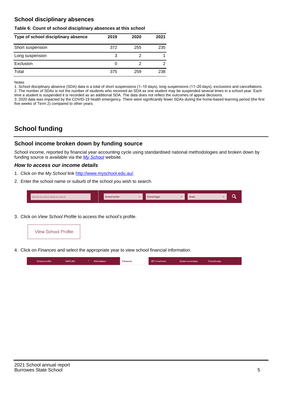## **School disciplinary absences**

#### **Table 6: Count of school disciplinary absences at this school**

| Type of school disciplinary absence | 2019 | 2020 | 2021           |
|-------------------------------------|------|------|----------------|
| Short suspension                    | 372  | 255  | 235            |
| Long suspension                     | 3    |      |                |
| Exclusion                           | 0    |      | $\overline{2}$ |
| Total                               | 375  | 259  | 238            |

Notes

1. School disciplinary absence (SDA) data is a total of short suspensions (1–10 days), long suspensions (11–20 days), exclusions and cancellations. 2. The number of SDAs is not the number of students who received an SDA as one student may be suspended several times in a school year. Each time a student is suspended it is recorded as an additional SDA. The data does not reflect the outcomes of appeal decisions.

3. 2020 data was impacted by the COVID-19 health emergency. There were significantly fewer SDAs during the home-based learning period (the first five weeks of Term 2) compared to other years.

# **School funding**

## **School income broken down by funding source**

School income, reported by financial year accounting cycle using standardised national methodologies and broken down by funding source is available via the  $My$  School website.

#### **How to access our income details**

- 1. Click on the My School link <http://www.myschool.edu.au/>.
- 2. Enter the school name or suburb of the school you wish to search.

|--|

3. Click on View School Profile to access the school's profile.



4. Click on Finances and select the appropriate year to view school financial information.

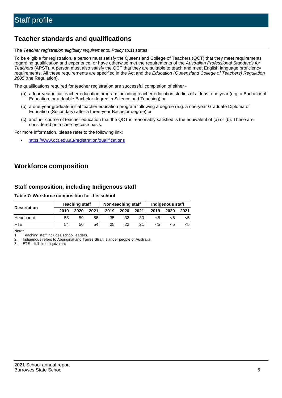# **Teacher standards and qualifications**

The Teacher registration eligibility requirements: Policy (p.1) states:

To be eligible for registration, a person must satisfy the Queensland College of Teachers (QCT) that they meet requirements regarding qualification and experience, or have otherwise met the requirements of the Australian Professional Standards for Teachers (APST). A person must also satisfy the QCT that they are suitable to teach and meet English language proficiency requirements. All these requirements are specified in the Act and the Education (Queensland College of Teachers) Regulation 2005 (the Regulation).

The qualifications required for teacher registration are successful completion of either -

- (a) a four-year initial teacher education program including teacher education studies of at least one year (e.g. a Bachelor of Education, or a double Bachelor degree in Science and Teaching) or
- (b) a one-year graduate initial teacher education program following a degree (e.g. a one-year Graduate Diploma of Education (Secondary) after a three-year Bachelor degree) or
- (c) another course of teacher education that the QCT is reasonably satisfied is the equivalent of (a) or (b). These are considered on a case-by-case basis.

For more information, please refer to the following link:

• <https://www.qct.edu.au/registration/qualifications>

# **Workforce composition**

## **Staff composition, including Indigenous staff**

#### **Table 7: Workforce composition for this school**

|                    | <b>Teaching staff</b> |      | Non-teaching staff |      |      | Indigenous staff |      |      |      |
|--------------------|-----------------------|------|--------------------|------|------|------------------|------|------|------|
| <b>Description</b> | 2019                  | 2020 | 2021               | 2019 | 2020 | 2021             | 2019 | 2020 | 2021 |
| Headcount          | 58                    | 59   | 58                 | 35   | 32   | 30               | <5   | <5   |      |
| <b>FTF</b>         | 54                    | 56   | 54                 | 25   | 22   |                  | <5   | ה>   |      |

Notes

1. Teaching staff includes school leaders.

2. Indigenous refers to Aboriginal and Torres Strait Islander people of Australia.

3. FTE = full-time equivalent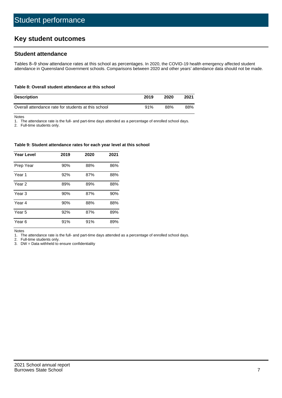# **Key student outcomes**

## **Student attendance**

Tables 8–9 show attendance rates at this school as percentages. In 2020, the COVID-19 health emergency affected student attendance in Queensland Government schools. Comparisons between 2020 and other years' attendance data should not be made.

#### **Table 8: Overall student attendance at this school**

| <b>Description</b>                                  | 2019 | 2020 | 2021 |
|-----------------------------------------------------|------|------|------|
| Overall attendance rate for students at this school | 91%  | 88%  | 88%  |

Notes

1. The attendance rate is the full- and part-time days attended as a percentage of enrolled school days.

2. Full-time students only.

#### **Table 9: Student attendance rates for each year level at this school**

| <b>Year Level</b> | 2019 | 2020 | 2021 |
|-------------------|------|------|------|
| Prep Year         | 90%  | 88%  | 86%  |
| Year <sub>1</sub> | 92%  | 87%  | 88%  |
| Year 2            | 89%  | 89%  | 88%  |
| Year 3            | 90%  | 87%  | 90%  |
| Year 4            | 90%  | 88%  | 88%  |
| Year 5            | 92%  | 87%  | 89%  |
| Year <sub>6</sub> | 91%  | 91%  | 89%  |

Notes

1. The attendance rate is the full- and part-time days attended as a percentage of enrolled school days.

2. Full-time students only.

3. DW = Data withheld to ensure confidentiality